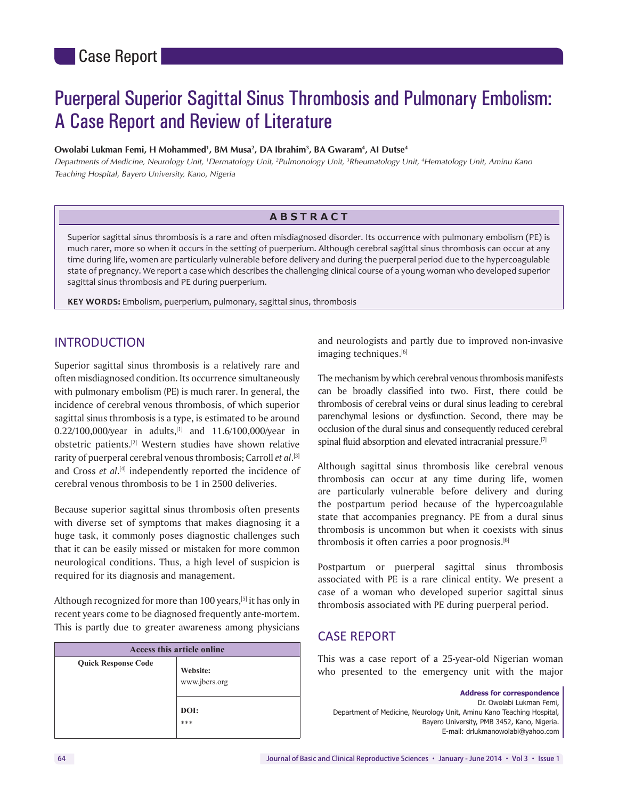# Puerperal Superior Sagittal Sinus Thrombosis and Pulmonary Embolism: A Case Report and Review of Literature

#### **Owolabi Lukman Femi, H Mohammed<sup>1</sup>, BM Musa<sup>2</sup>, DA Ibrahim<sup>3</sup>, BA Gwaram<sup>4</sup>, AI Dutse<sup>4</sup>**

Departments of Medicine, Neurology Unit, <sup>1</sup>Dermatology Unit, <sup>2</sup>Pulmonology Unit, <sup>3</sup>Rheumatology Unit, <sup>4</sup>Hematology Unit, Aminu Kano *Teaching Hospital, Bayero University, Kano, Nigeria*

#### **ABSTRACT**

Superior sagittal sinus thrombosis is a rare and often misdiagnosed disorder. Its occurrence with pulmonary embolism (PE) is much rarer, more so when it occurs in the setting of puerperium. Although cerebral sagittal sinus thrombosis can occur at any time during life, women are particularly vulnerable before delivery and during the puerperal period due to the hypercoagulable state of pregnancy. We report a case which describes the challenging clinical course of a young woman who developed superior sagittal sinus thrombosis and PE during puerperium.

**KEY WORDS:** Embolism, puerperium, pulmonary, sagittal sinus, thrombosis

## INTRODUCTION

Superior sagittal sinus thrombosis is a relatively rare and often misdiagnosed condition. Its occurrence simultaneously with pulmonary embolism (PE) is much rarer. In general, the incidence of cerebral venous thrombosis, of which superior sagittal sinus thrombosis is a type, is estimated to be around 0.22/100,000/year in adults,<sup>[1]</sup> and 11.6/100,000/year in obstetric patients.[2] Western studies have shown relative rarity of puerperal cerebral venous thrombosis; Carroll *et al*. [3] and Cross et al.<sup>[4]</sup> independently reported the incidence of cerebral venous thrombosis to be 1 in 2500 deliveries.

Because superior sagittal sinus thrombosis often presents with diverse set of symptoms that makes diagnosing it a huge task, it commonly poses diagnostic challenges such that it can be easily missed or mistaken for more common neurological conditions. Thus, a high level of suspicion is required for its diagnosis and management.

Although recognized for more than 100 years,<sup>[5]</sup> it has only in recent years come to be diagnosed frequently ante‑mortem. This is partly due to greater awareness among physicians

| Access this article online               |
|------------------------------------------|
| Website:<br>www.jbcrs.org<br>DOI:<br>*** |
|                                          |

and neurologists and partly due to improved non‑invasive imaging techniques.<sup>[6]</sup>

The mechanism by which cerebral venous thrombosis manifests can be broadly classified into two. First, there could be thrombosis of cerebral veins or dural sinus leading to cerebral parenchymal lesions or dysfunction. Second, there may be occlusion of the dural sinus and consequently reduced cerebral spinal fluid absorption and elevated intracranial pressure.<sup>[7]</sup>

Although sagittal sinus thrombosis like cerebral venous thrombosis can occur at any time during life, women are particularly vulnerable before delivery and during the postpartum period because of the hypercoagulable state that accompanies pregnancy. PE from a dural sinus thrombosis is uncommon but when it coexists with sinus thrombosis it often carries a poor prognosis.[6]

Postpartum or puerperal sagittal sinus thrombosis associated with PE is a rare clinical entity. We present a case of a woman who developed superior sagittal sinus thrombosis associated with PE during puerperal period.

## CASE REPORT

This was a case report of a 25‑year‑old Nigerian woman who presented to the emergency unit with the major

**Address for correspondence**  Dr. Owolabi Lukman Femi, Department of Medicine, Neurology Unit, Aminu Kano Teaching Hospital, Bayero University, PMB 3452, Kano, Nigeria. E‑mail: drlukmanowolabi@yahoo.com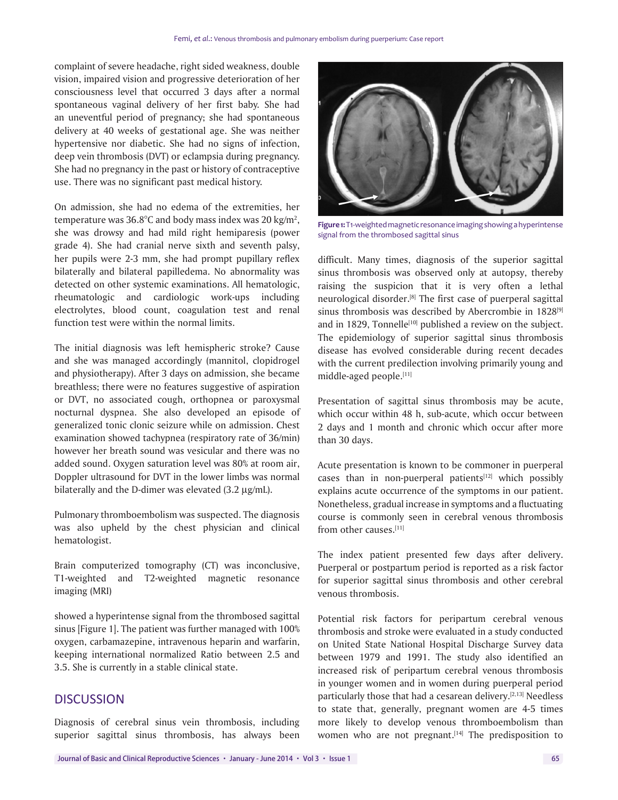complaint of severe headache, right sided weakness, double vision, impaired vision and progressive deterioration of her consciousness level that occurred 3 days after a normal spontaneous vaginal delivery of her first baby. She had an uneventful period of pregnancy; she had spontaneous delivery at 40 weeks of gestational age. She was neither hypertensive nor diabetic. She had no signs of infection, deep vein thrombosis (DVT) or eclampsia during pregnancy. She had no pregnancy in the past or history of contraceptive use. There was no significant past medical history.

On admission, she had no edema of the extremities, her temperature was  $36.8^{\circ}$ C and body mass index was 20 kg/m<sup>2</sup>, she was drowsy and had mild right hemiparesis (power grade 4). She had cranial nerve sixth and seventh palsy, her pupils were 2-3 mm, she had prompt pupillary reflex bilaterally and bilateral papilledema. No abnormality was detected on other systemic examinations. All hematologic, rheumatologic and cardiologic work‑ups including electrolytes, blood count, coagulation test and renal function test were within the normal limits.

The initial diagnosis was left hemispheric stroke? Cause and she was managed accordingly (mannitol, clopidrogel and physiotherapy). After 3 days on admission, she became breathless; there were no features suggestive of aspiration or DVT, no associated cough, orthopnea or paroxysmal nocturnal dyspnea. She also developed an episode of generalized tonic clonic seizure while on admission. Chest examination showed tachypnea (respiratory rate of 36/min) however her breath sound was vesicular and there was no added sound. Oxygen saturation level was 80% at room air, Doppler ultrasound for DVT in the lower limbs was normal bilaterally and the D-dimer was elevated  $(3.2 \,\mu g/mL)$ .

Pulmonary thromboembolism was suspected. The diagnosis was also upheld by the chest physician and clinical hematologist.

Brain computerized tomography (CT) was inconclusive, T1‑weighted and T2‑weighted magnetic resonance imaging (MRI)

showed a hyperintense signal from the thrombosed sagittal sinus [Figure 1]. The patient was further managed with 100% oxygen, carbamazepine, intravenous heparin and warfarin, keeping international normalized Ratio between 2.5 and 3.5. She is currently in a stable clinical state.

# **DISCUSSION**

Diagnosis of cerebral sinus vein thrombosis, including superior sagittal sinus thrombosis, has always been



Figure 1: T1-weighted magnetic resonance imaging showing a hyperintense signal from the thrombosed sagittal sinus

difficult. Many times, diagnosis of the superior sagittal sinus thrombosis was observed only at autopsy, thereby raising the suspicion that it is very often a lethal neurological disorder.[8] The first case of puerperal sagittal sinus thrombosis was described by Abercrombie in 1828<sup>[9]</sup> and in 1829, Tonnelle<sup>[10]</sup> published a review on the subject. The epidemiology of superior sagittal sinus thrombosis disease has evolved considerable during recent decades with the current predilection involving primarily young and middle‑aged people.[11]

Presentation of sagittal sinus thrombosis may be acute, which occur within 48 h, sub-acute, which occur between 2 days and 1 month and chronic which occur after more than 30 days.

Acute presentation is known to be commoner in puerperal cases than in non-puerperal patients $[12]$  which possibly explains acute occurrence of the symptoms in our patient. Nonetheless, gradual increase in symptoms and a fluctuating course is commonly seen in cerebral venous thrombosis from other causes.[11]

The index patient presented few days after delivery. Puerperal or postpartum period is reported as a risk factor for superior sagittal sinus thrombosis and other cerebral venous thrombosis.

Potential risk factors for peripartum cerebral venous thrombosis and stroke were evaluated in a study conducted on United State National Hospital Discharge Survey data between 1979 and 1991. The study also identified an increased risk of peripartum cerebral venous thrombosis in younger women and in women during puerperal period particularly those that had a cesarean delivery.[2,13] Needless to state that, generally, pregnant women are 4‑5 times more likely to develop venous thromboembolism than women who are not pregnant.<sup>[14]</sup> The predisposition to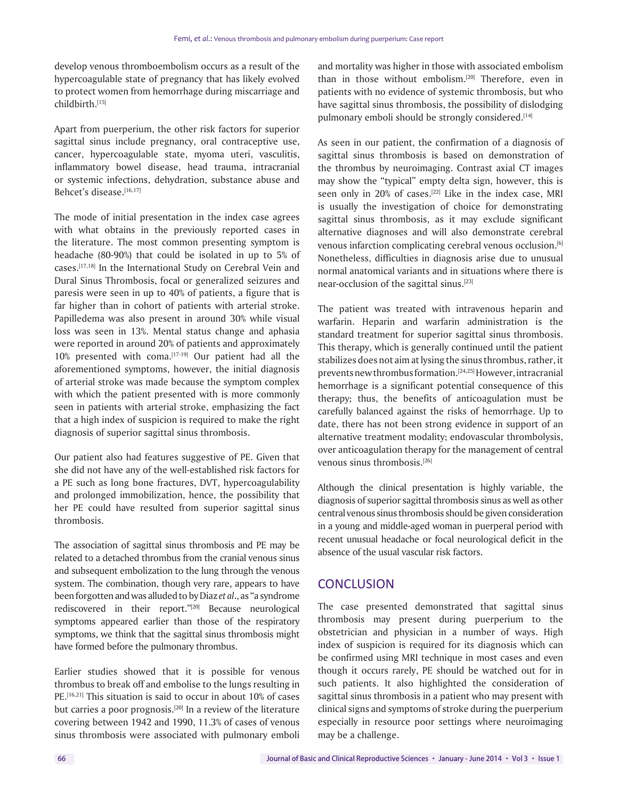develop venous thromboembolism occurs as a result of the hypercoagulable state of pregnancy that has likely evolved to protect women from hemorrhage during miscarriage and childbirth.[15]

Apart from puerperium, the other risk factors for superior sagittal sinus include pregnancy, oral contraceptive use, cancer, hypercoagulable state, myoma uteri, vasculitis, inflammatory bowel disease, head trauma, intracranial or systemic infections, dehydration, substance abuse and Behcet's disease.[16,17]

The mode of initial presentation in the index case agrees with what obtains in the previously reported cases in the literature. The most common presenting symptom is headache (80‑90%) that could be isolated in up to 5% of cases.[17,18] In the International Study on Cerebral Vein and Dural Sinus Thrombosis, focal or generalized seizures and paresis were seen in up to 40% of patients, a figure that is far higher than in cohort of patients with arterial stroke. Papilledema was also present in around 30% while visual loss was seen in 13%. Mental status change and aphasia were reported in around 20% of patients and approximately 10% presented with coma.[17-19] Our patient had all the aforementioned symptoms, however, the initial diagnosis of arterial stroke was made because the symptom complex with which the patient presented with is more commonly seen in patients with arterial stroke, emphasizing the fact that a high index of suspicion is required to make the right diagnosis of superior sagittal sinus thrombosis.

Our patient also had features suggestive of PE. Given that she did not have any of the well-established risk factors for a PE such as long bone fractures, DVT, hypercoagulability and prolonged immobilization, hence, the possibility that her PE could have resulted from superior sagittal sinus thrombosis.

The association of sagittal sinus thrombosis and PE may be related to a detached thrombus from the cranial venous sinus and subsequent embolization to the lung through the venous system. The combination, though very rare, appears to have been forgotten and was alluded to by Diaz *et al*., as "a syndrome rediscovered in their report."[20] Because neurological symptoms appeared earlier than those of the respiratory symptoms, we think that the sagittal sinus thrombosis might have formed before the pulmonary thrombus.

Earlier studies showed that it is possible for venous thrombus to break off and embolise to the lungs resulting in PE.<sup>[16,21]</sup> This situation is said to occur in about 10% of cases but carries a poor prognosis.<sup>[20]</sup> In a review of the literature covering between 1942 and 1990, 11.3% of cases of venous sinus thrombosis were associated with pulmonary emboli and mortality was higher in those with associated embolism than in those without embolism.<sup>[20]</sup> Therefore, even in patients with no evidence of systemic thrombosis, but who have sagittal sinus thrombosis, the possibility of dislodging pulmonary emboli should be strongly considered.<sup>[14]</sup>

As seen in our patient, the confirmation of a diagnosis of sagittal sinus thrombosis is based on demonstration of the thrombus by neuroimaging. Contrast axial CT images may show the "typical" empty delta sign, however, this is seen only in 20% of cases.<sup>[22]</sup> Like in the index case, MRI is usually the investigation of choice for demonstrating sagittal sinus thrombosis, as it may exclude significant alternative diagnoses and will also demonstrate cerebral venous infarction complicating cerebral venous occlusion.<sup>[6]</sup> Nonetheless, difficulties in diagnosis arise due to unusual normal anatomical variants and in situations where there is near‑occlusion of the sagittal sinus.[23]

The patient was treated with intravenous heparin and warfarin. Heparin and warfarin administration is the standard treatment for superior sagittal sinus thrombosis. This therapy, which is generally continued until the patient stabilizes does not aim at lysing the sinus thrombus, rather, it prevents new thrombus formation.[24,25] However, intracranial hemorrhage is a significant potential consequence of this therapy; thus, the benefits of anticoagulation must be carefully balanced against the risks of hemorrhage. Up to date, there has not been strong evidence in support of an alternative treatment modality; endovascular thrombolysis, over anticoagulation therapy for the management of central venous sinus thrombosis.[26]

Although the clinical presentation is highly variable, the diagnosis of superior sagittal thrombosis sinus as well as other central venous sinus thrombosis should be given consideration in a young and middle‑aged woman in puerperal period with recent unusual headache or focal neurological deficit in the absence of the usual vascular risk factors.

#### **CONCLUSION**

The case presented demonstrated that sagittal sinus thrombosis may present during puerperium to the obstetrician and physician in a number of ways. High index of suspicion is required for its diagnosis which can be confirmed using MRI technique in most cases and even though it occurs rarely, PE should be watched out for in such patients. It also highlighted the consideration of sagittal sinus thrombosis in a patient who may present with clinical signs and symptoms of stroke during the puerperium especially in resource poor settings where neuroimaging may be a challenge.